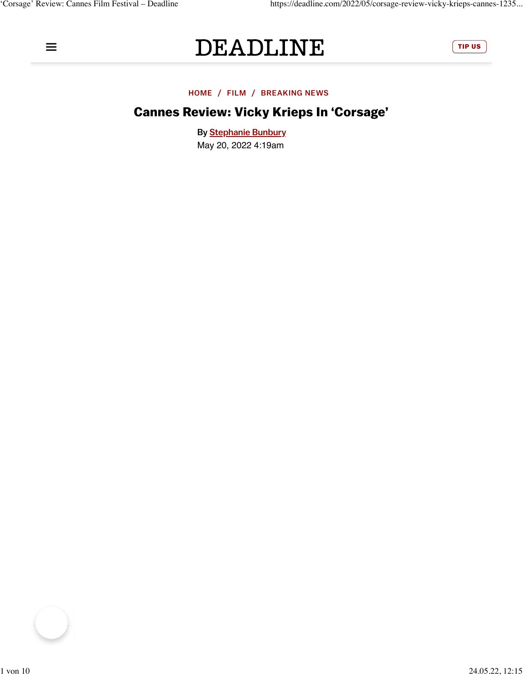

## **DEADLINE**



#### [HOME](https://deadline.com/) [/](https://deadline.com/v/film/) [FILM](https://deadline.com/v/film/) [/](https://deadline.com/category/breaking-news/) [BREAKING NEWS](https://deadline.com/category/breaking-news/)

### Cannes Review: Vicky Krieps In 'Corsage'

May 20, 2022 4:19am By [Stephanie Bunbury](https://deadline.com/author/stephanie-bunbury/)

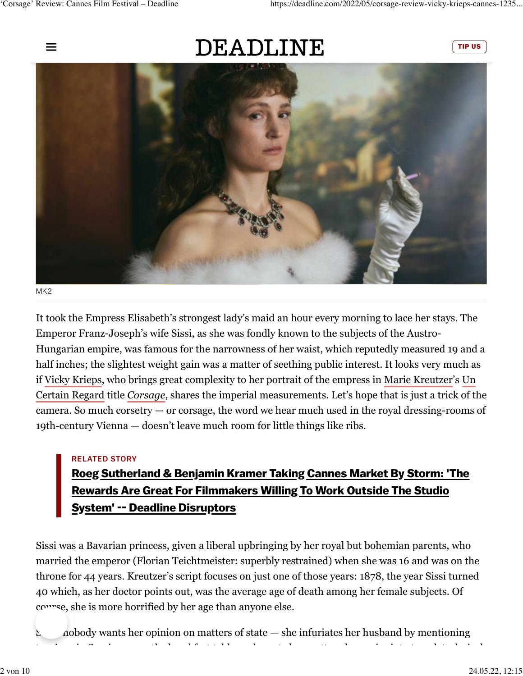

## DEADLINE





It took the Empress Elisabeth's strongest lady's maid an hour every morning to lace her stays. The Emperor Franz-Joseph's wife Sissi, as she was fondly known to the subjects of the Austro-Hungarian empire, was famous for the narrowness of her waist, which reputedly measured 19 and a half inches; the slightest weight gain was a matter of seething public interest. It looks very much as if [Vicky Krieps](https://deadline.com/tag/vicky-krieps/), who brings great complexity to her portrait of the empress in [Marie Kreutzer](https://deadline.com/tag/marie-kreutzer/)'s [Un](https://deadline.com/tag/un-certain-regard/) [Certain Regard](https://deadline.com/tag/un-certain-regard/) title *[Corsage](https://deadline.com/tag/corsage/)*, shares the imperial measurements. Let's hope that is just a trick of the camera. So much corsetry — or corsage, the word we hear much used in the royal dressing-rooms of 19th-century Vienna — doesn't leave much room for little things like ribs.

#### RELATED STORY

### [Roeg Sutherland & Benjamin Kramer Taking Cannes Market By Storm: 'The](https://deadline.com/2022/05/caa-media-finance-roeg-sutherland-benjamin-kramer-cannes-market-deadline-disruptors-1235028138/) [Rewards Are Great For Filmmakers Willing To Work Outside The Studio](https://deadline.com/2022/05/caa-media-finance-roeg-sutherland-benjamin-kramer-cannes-market-deadline-disruptors-1235028138/) [System' -- Deadline Disruptors](https://deadline.com/2022/05/caa-media-finance-roeg-sutherland-benjamin-kramer-cannes-market-deadline-disruptors-1235028138/)

Sissi was a Bavarian princess, given a liberal upbringing by her royal but bohemian parents, who married the emperor (Florian Teichtmeister: superbly restrained) when she was 16 and was on the throne for 44 years. Kreutzer's script focuses on just one of those years: 1878, the year Sissi turned 40 which, as her doctor points out, was the average age of death among her female subjects. Of course, she is more horrified by her age than anyone else.

 $\Omega$  nobody wants her opinion on matters of state  $-$  she infuriates her husband by mentioning tensions in Sarajevo over the breakfast table — she puts her scattered energies into travel, technical